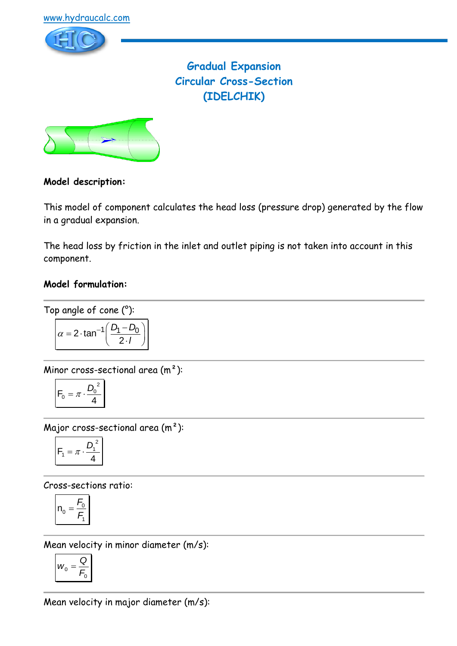

**Gradual Expansion Circular Cross-Section (IDELCHIK)**



## **Model description:**

This model of component calculates the head loss (pressure drop) generated by the flow in a gradual expansion.

The head loss by friction in the inlet and outlet piping is not taken into account in this component.

## **Model formulation:**

Top angle of cone (°):

$$
\alpha = 2 \cdot \tan^{-1} \left( \frac{D_1 - D_0}{2 \cdot I} \right)
$$

Minor cross-sectional area (m²):

$$
F_0 = \pi \cdot \frac{D_0^2}{4}
$$

Major cross-sectional area (m²):

$$
F_1 = \pi \cdot \frac{D_1^2}{4}
$$

Cross-sections ratio:

$$
n_0 = \frac{F_0}{F_1}
$$

Mean velocity in minor diameter (m/s):

$$
W_0 = \frac{Q}{F_0}
$$

Mean velocity in major diameter (m/s):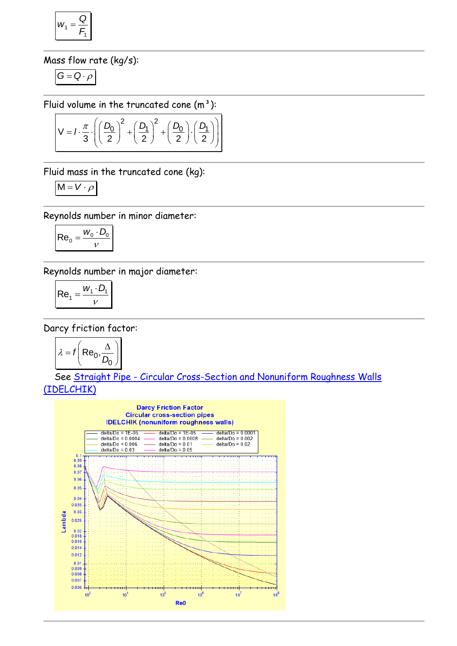$$
w_1 = \frac{Q}{F_1}
$$

### Mass flow rate (kg/s):

$$
G=Q\cdot \rho
$$

$$
\text{Fluid volume in the truncated cone (m}^3):
$$
\n
$$
V = I \cdot \frac{\pi}{3} \cdot \left( \left( \frac{D_0}{2} \right)^2 + \left( \frac{D_1}{2} \right)^2 + \left( \frac{D_0}{2} \right) \cdot \left( \frac{D_1}{2} \right) \right)
$$

Fluid mass in the truncated cone (kg):

$$
M = V \cdot \rho
$$

Reynolds number in minor diameter:

$$
\left| \text{Re}_0 = \frac{w_0 \cdot D_0}{v} \right|
$$

Reynolds number in major diameter:

$$
\left| \text{Re}_1 = \frac{W_1 \cdot D_1}{V} \right|
$$

Darcy friction factor:

$$
\lambda = f\left(\text{Re}_0, \frac{\Delta}{D_0}\right)
$$

 See Straight Pipe - [Circular Cross-Section and Nonuniform Roughness Walls](../../Tuyau%20rectiligne/Tuyau%20rectiligne%20-%20Section%20circulaire/IDELCHIK%20(nonuniform%20roughness%20walls).htm)  [\(IDELCHIK\)](../../Tuyau%20rectiligne/Tuyau%20rectiligne%20-%20Section%20circulaire/IDELCHIK%20(nonuniform%20roughness%20walls).htm)

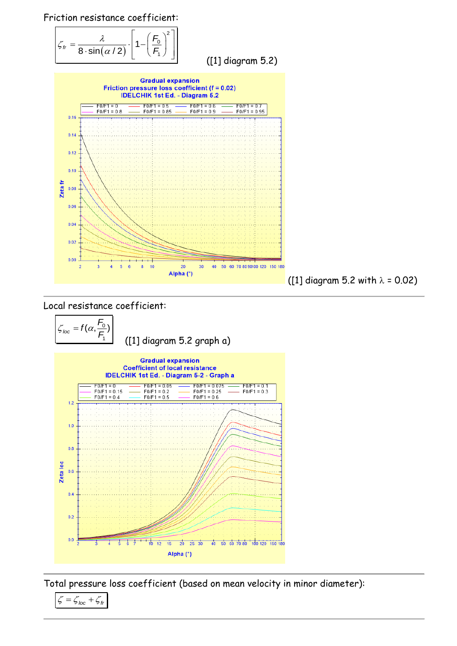Friction resistance coefficient:

$$
\mathcal{L}_{tr} = \frac{\lambda}{8 \cdot \sin(\alpha/2)} \cdot \left[1 - \left(\frac{F_0}{F_1}\right)^2\right]
$$

([1] diagram 5.2)



#### Local resistance coefficient:





Total pressure loss coefficient (based on mean velocity in minor diameter):

 $\zeta = \zeta_{loc} + \zeta_{fr}$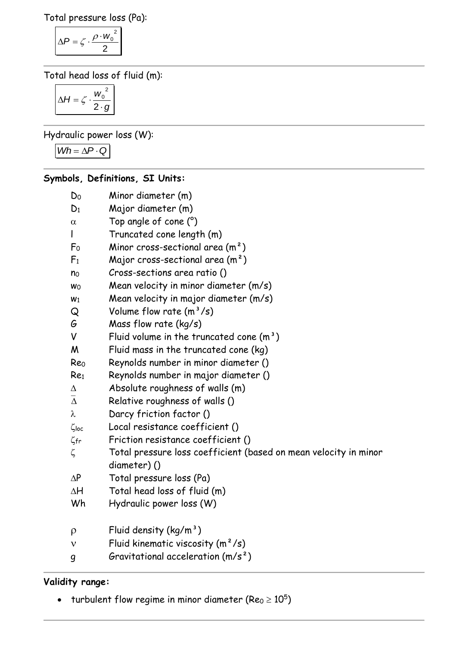Total pressure loss (Pa):

$$
\Delta P = \zeta \cdot \frac{\rho \cdot w_0^2}{2}
$$

Total head loss of fluid (m):

$$
\Delta H = \zeta \cdot \frac{{w_0}^2}{2 \cdot g}
$$

Hydraulic power loss (W):

 $Wh = \Delta P \cdot Q$ 

# **Symbols, Definitions, SI Units:**

| Do              | Minor diameter (m)                                               |
|-----------------|------------------------------------------------------------------|
| $D_1$           | Major diameter (m)                                               |
| $\alpha$        | Top angle of cone (°)                                            |
| L               | Truncated cone length (m)                                        |
| F <sub>0</sub>  | Minor cross-sectional area $(m2)$                                |
| F <sub>1</sub>  | Major cross-sectional area $(m^2)$                               |
| n <sub>0</sub>  | Cross-sections area ratio ()                                     |
| Wo              | Mean velocity in minor diameter (m/s)                            |
| W <sub>1</sub>  | Mean velocity in major diameter (m/s)                            |
| Q               | Volume flow rate $(m^3/s)$                                       |
| G               | Mass flow rate (kg/s)                                            |
| V               | Fluid volume in the truncated cone $(m^3)$                       |
| M               | Fluid mass in the truncated cone (kg)                            |
| Reo             | Reynolds number in minor diameter ()                             |
| Re <sub>1</sub> | Reynolds number in major diameter ()                             |
| Δ               | Absolute roughness of walls (m)                                  |
| $\bar{\Delta}$  | Relative roughness of walls ()                                   |
| λ               | Darcy friction factor ()                                         |
| $\zeta$ loc     | Local resistance coefficient ()                                  |
| $\zeta$ fr      | Friction resistance coefficient ()                               |
| ζ               | Total pressure loss coefficient (based on mean velocity in minor |
|                 | diameter)()                                                      |
| $\Delta P$      | Total pressure loss (Pa)                                         |
| ΔH              | Total head loss of fluid (m)                                     |
| Wh              | Hydraulic power loss (W)                                         |
| $\rho$          | Fluid density $(kg/m^3)$                                         |
| $\mathbf v$     | Fluid kinematic viscosity $(m^2/s)$                              |
|                 | Gravitational acceleration $(m/s^2)$                             |
| g               |                                                                  |

# **Validity range:**

- turbulent flow regime in minor diameter (Re $_0$   $\geq$   $10^5)$